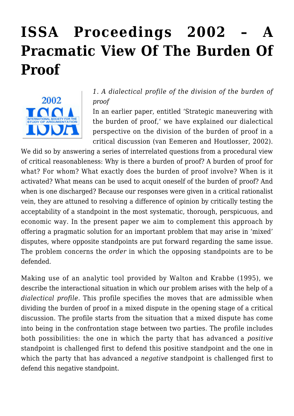# **[ISSA Proceedings 2002 – A](https://rozenbergquarterly.com/issa-proceedings-2002-a-pracmatic-view-of-the-burden-of-proof/) [Pracmatic View Of The Burden Of](https://rozenbergquarterly.com/issa-proceedings-2002-a-pracmatic-view-of-the-burden-of-proof/) [Proof](https://rozenbergquarterly.com/issa-proceedings-2002-a-pracmatic-view-of-the-burden-of-proof/)**



*1. A dialectical profile of the division of the burden of proof*

In an earlier paper, entitled 'Strategic maneuvering with the burden of proof,' we have explained our dialectical perspective on the division of the burden of proof in a critical discussion (van Eemeren and Houtlosser, 2002).

We did so by answering a series of interrelated questions from a procedural view of critical reasonableness: Why is there a burden of proof? A burden of proof for what? For whom? What exactly does the burden of proof involve? When is it activated? What means can be used to acquit oneself of the burden of proof? And when is one discharged? Because our responses were given in a critical rationalist vein, they are attuned to resolving a difference of opinion by critically testing the acceptability of a standpoint in the most systematic, thorough, perspicuous, and economic way. In the present paper we aim to complement this approach by offering a pragmatic solution for an important problem that may arise in 'mixed' disputes, where opposite standpoints are put forward regarding the same issue. The problem concerns the *order* in which the opposing standpoints are to be defended.

Making use of an analytic tool provided by Walton and Krabbe (1995), we describe the interactional situation in which our problem arises with the help of a *dialectical profile*. This profile specifies the moves that are admissible when dividing the burden of proof in a mixed dispute in the opening stage of a critical discussion. The profile starts from the situation that a mixed dispute has come into being in the confrontation stage between two parties. The profile includes both possibilities: the one in which the party that has advanced a *positive* standpoint is challenged first to defend this positive standpoint and the one in which the party that has advanced a *negative* standpoint is challenged first to defend this negative standpoint.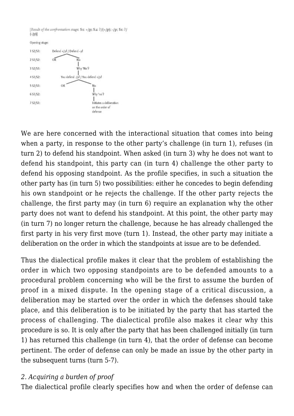[Result of the confrontation stage: S1: +/p; S2: ?/(+/p); -/p; S1: ?/  $(\cdot/p)]$ 



We are here concerned with the interactional situation that comes into being when a party, in response to the other party's challenge (in turn 1), refuses (in turn 2) to defend his standpoint. When asked (in turn 3) why he does not want to defend his standpoint, this party can (in turn 4) challenge the other party to defend his opposing standpoint. As the profile specifies, in such a situation the other party has (in turn 5) two possibilities: either he concedes to begin defending his own standpoint or he rejects the challenge. If the other party rejects the challenge, the first party may (in turn 6) require an explanation why the other party does not want to defend his standpoint. At this point, the other party may (in turn 7) no longer return the challenge, because he has already challenged the first party in his very first move (turn 1). Instead, the other party may initiate a deliberation on the order in which the standpoints at issue are to be defended.

Thus the dialectical profile makes it clear that the problem of establishing the order in which two opposing standpoints are to be defended amounts to a procedural problem concerning who will be the first to assume the burden of proof in a mixed dispute. In the opening stage of a critical discussion, a deliberation may be started over the order in which the defenses should take place, and this deliberation is to be initiated by the party that has started the process of challenging. The dialectical profile also makes it clear why this procedure is so. It is only after the party that has been challenged initially (in turn 1) has returned this challenge (in turn 4), that the order of defense can become pertinent. The order of defense can only be made an issue by the other party in the subsequent turns (turn 5-7).

### *2. Acquiring a burden of proof*

The dialectical profile clearly specifies how and when the order of defense can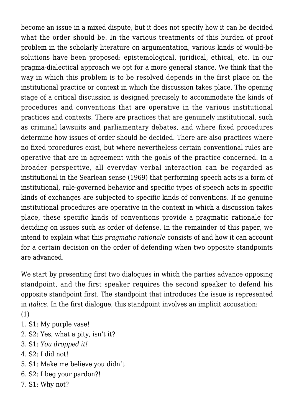become an issue in a mixed dispute, but it does not specify how it can be decided what the order should be. In the various treatments of this burden of proof problem in the scholarly literature on argumentation, various kinds of would-be solutions have been proposed: epistemological, juridical, ethical, etc. In our pragma-dialectical approach we opt for a more general stance. We think that the way in which this problem is to be resolved depends in the first place on the institutional practice or context in which the discussion takes place. The opening stage of a critical discussion is designed precisely to accommodate the kinds of procedures and conventions that are operative in the various institutional practices and contexts. There are practices that are genuinely institutional, such as criminal lawsuits and parliamentary debates, and where fixed procedures determine how issues of order should be decided. There are also practices where no fixed procedures exist, but where nevertheless certain conventional rules are operative that are in agreement with the goals of the practice concerned. In a broader perspective, all everyday verbal interaction can be regarded as institutional in the Searlean sense (1969) that performing speech acts is a form of institutional, rule-governed behavior and specific types of speech acts in specific kinds of exchanges are subjected to specific kinds of conventions. If no genuine institutional procedures are operative in the context in which a discussion takes place, these specific kinds of conventions provide a pragmatic rationale for deciding on issues such as order of defense. In the remainder of this paper, we intend to explain what this *pragmatic rationale* consists of and how it can account for a certain decision on the order of defending when two opposite standpoints are advanced.

We start by presenting first two dialogues in which the parties advance opposing standpoint, and the first speaker requires the second speaker to defend his opposite standpoint first. The standpoint that introduces the issue is represented in *italics*. In the first dialogue, this standpoint involves an implicit accusation: (1)

- 
- 1. S1: My purple vase!
- 2. S2: Yes, what a pity, isn't it?
- 3. S1: *You dropped it!*
- 4. S2: I did not!
- 5. S1: Make me believe you didn't
- 6. S2: I beg your pardon?!
- 7. S1: Why not?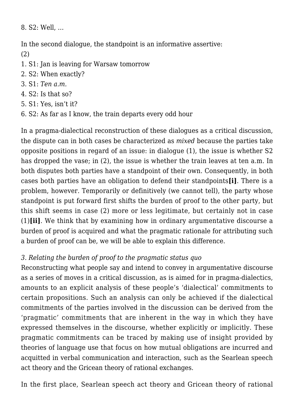8. S2: Well, …

In the second dialogue, the standpoint is an informative assertive: (2)

- 1. S1: Jan is leaving for Warsaw tomorrow
- 2. S2: When exactly?
- 3. S1: *Ten a.m.*
- 4. S2: Is that so?
- 5. S1: Yes, isn't it?
- 6. S2: As far as I know, the train departs every odd hour

In a pragma-dialectical reconstruction of these dialogues as a critical discussion, the dispute can in both cases be characterized as *mixed* because the parties take opposite positions in regard of an issue: in dialogue (1), the issue is whether S2 has dropped the vase; in (2), the issue is whether the train leaves at ten a.m. In both disputes both parties have a standpoint of their own. Consequently, in both cases both parties have an obligation to defend their standpoints**[i]**. There is a problem, however. Temporarily or definitively (we cannot tell), the party whose standpoint is put forward first shifts the burden of proof to the other party, but this shift seems in case (2) more or less legitimate, but certainly not in case (1)**[ii]**. We think that by examining how in ordinary argumentative discourse a burden of proof is acquired and what the pragmatic rationale for attributing such a burden of proof can be, we will be able to explain this difference.

### *3. Relating the burden of proof to the pragmatic status quo*

Reconstructing what people say and intend to convey in argumentative discourse as a series of moves in a critical discussion, as is aimed for in pragma-dialectics, amounts to an explicit analysis of these people's 'dialectical' commitments to certain propositions. Such an analysis can only be achieved if the dialectical commitments of the parties involved in the discussion can be derived from the 'pragmatic' commitments that are inherent in the way in which they have expressed themselves in the discourse, whether explicitly or implicitly. These pragmatic commitments can be traced by making use of insight provided by theories of language use that focus on how mutual obligations are incurred and acquitted in verbal communication and interaction, such as the Searlean speech act theory and the Gricean theory of rational exchanges.

In the first place, Searlean speech act theory and Gricean theory of rational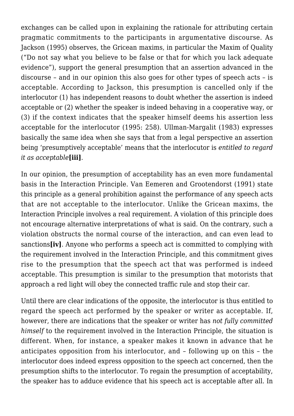exchanges can be called upon in explaining the rationale for attributing certain pragmatic commitments to the participants in argumentative discourse. As Jackson (1995) observes, the Gricean maxims, in particular the Maxim of Quality ("Do not say what you believe to be false or that for which you lack adequate evidence"), support the general presumption that an assertion advanced in the discourse – and in our opinion this also goes for other types of speech acts – is acceptable. According to Jackson, this presumption is cancelled only if the interlocutor (1) has independent reasons to doubt whether the assertion is indeed acceptable or (2) whether the speaker is indeed behaving in a cooperative way, or (3) if the context indicates that the speaker himself deems his assertion less acceptable for the interlocutor (1995: 258). Ullman-Margalit (1983) expresses basically the same idea when she says that from a legal perspective an assertion being 'presumptively acceptable' means that the interlocutor is *entitled to regard it as acceptable***[iii]**.

In our opinion, the presumption of acceptability has an even more fundamental basis in the Interaction Principle. Van Eemeren and Grootendorst (1991) state this principle as a general prohibition against the performance of any speech acts that are not acceptable to the interlocutor. Unlike the Gricean maxims, the Interaction Principle involves a real requirement. A violation of this principle does not encourage alternative interpretations of what is said. On the contrary, such a violation obstructs the normal course of the interaction, and can even lead to sanctions**[iv]**. Anyone who performs a speech act is committed to complying with the requirement involved in the Interaction Principle, and this commitment gives rise to the presumption that the speech act that was performed is indeed acceptable. This presumption is similar to the presumption that motorists that approach a red light will obey the connected traffic rule and stop their car.

Until there are clear indications of the opposite, the interlocutor is thus entitled to regard the speech act performed by the speaker or writer as acceptable. If, however, there are indications that the speaker or writer has *not fully committed himself* to the requirement involved in the Interaction Principle, the situation is different. When, for instance, a speaker makes it known in advance that he anticipates opposition from his interlocutor, and – following up on this – the interlocutor does indeed express opposition to the speech act concerned, then the presumption shifts to the interlocutor. To regain the presumption of acceptability, the speaker has to adduce evidence that his speech act is acceptable after all. In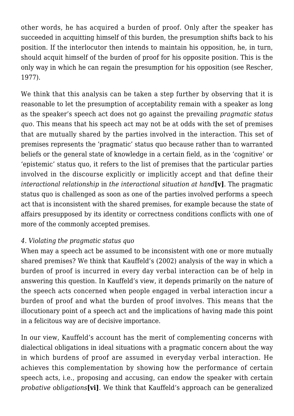other words, he has acquired a burden of proof. Only after the speaker has succeeded in acquitting himself of this burden, the presumption shifts back to his position. If the interlocutor then intends to maintain his opposition, he, in turn, should acquit himself of the burden of proof for his opposite position. This is the only way in which he can regain the presumption for his opposition (see Rescher, 1977).

We think that this analysis can be taken a step further by observing that it is reasonable to let the presumption of acceptability remain with a speaker as long as the speaker's speech act does not go against the prevailing *pragmatic status quo*. This means that his speech act may not be at odds with the set of premises that are mutually shared by the parties involved in the interaction. This set of premises represents the 'pragmatic' status quo because rather than to warranted beliefs or the general state of knowledge in a certain field, as in the 'cognitive' or 'epistemic' status quo, it refers to the list of premises that the particular parties involved in the discourse explicitly or implicitly accept and that define their *interactional relationship* in *the interactional situation at hand***[v]**. The pragmatic status quo is challenged as soon as one of the parties involved performs a speech act that is inconsistent with the shared premises, for example because the state of affairs presupposed by its identity or correctness conditions conflicts with one of more of the commonly accepted premises.

### *4. Violating the pragmatic status quo*

When may a speech act be assumed to be inconsistent with one or more mutually shared premises? We think that Kauffeld's (2002) analysis of the way in which a burden of proof is incurred in every day verbal interaction can be of help in answering this question. In Kauffeld's view, it depends primarily on the nature of the speech acts concerned when people engaged in verbal interaction incur a burden of proof and what the burden of proof involves. This means that the illocutionary point of a speech act and the implications of having made this point in a felicitous way are of decisive importance.

In our view, Kauffeld's account has the merit of complementing concerns with dialectical obligations in ideal situations with a pragmatic concern about the way in which burdens of proof are assumed in everyday verbal interaction. He achieves this complementation by showing how the performance of certain speech acts, i.e., proposing and accusing, can endow the speaker with certain *probative obligations***[vi]**. We think that Kauffeld's approach can be generalized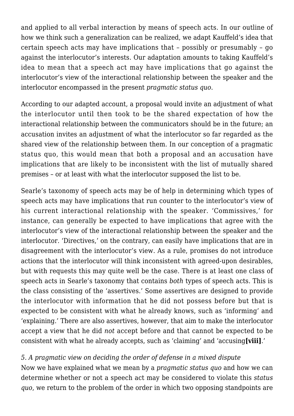and applied to all verbal interaction by means of speech acts. In our outline of how we think such a generalization can be realized, we adapt Kauffeld's idea that certain speech acts may have implications that – possibly or presumably – go against the interlocutor's interests. Our adaptation amounts to taking Kauffeld's idea to mean that a speech act may have implications that go against the interlocutor's view of the interactional relationship between the speaker and the interlocutor encompassed in the present *pragmatic status quo*.

According to our adapted account, a proposal would invite an adjustment of what the interlocutor until then took to be the shared expectation of how the interactional relationship between the communicators should be in the future; an accusation invites an adjustment of what the interlocutor so far regarded as the shared view of the relationship between them. In our conception of a pragmatic status quo, this would mean that both a proposal and an accusation have implications that are likely to be inconsistent with the list of mutually shared premises – or at least with what the interlocutor supposed the list to be.

Searle's taxonomy of speech acts may be of help in determining which types of speech acts may have implications that run counter to the interlocutor's view of his current interactional relationship with the speaker. 'Commissives,' for instance, can generally be expected to have implications that agree with the interlocutor's view of the interactional relationship between the speaker and the interlocutor. 'Directives,' on the contrary, can easily have implications that are in disagreement with the interlocutor's view. As a rule, promises do not introduce actions that the interlocutor will think inconsistent with agreed-upon desirables, but with requests this may quite well be the case. There is at least one class of speech acts in Searle's taxonomy that contains *both* types of speech acts. This is the class consisting of the 'assertives.' Some assertives are designed to provide the interlocutor with information that he did not possess before but that is expected to be consistent with what he already knows, such as 'informing' and 'explaining.' There are also assertives, however, that aim to make the interlocutor accept a view that he did *not* accept before and that cannot be expected to be consistent with what he already accepts, such as 'claiming' and 'accusing**[viii]**.'

### *5. A pragmatic view on deciding the order of defense in a mixed dispute*

Now we have explained what we mean by a *pragmatic status quo* and how we can determine whether or not a speech act may be considered to violate this *status quo*, we return to the problem of the order in which two opposing standpoints are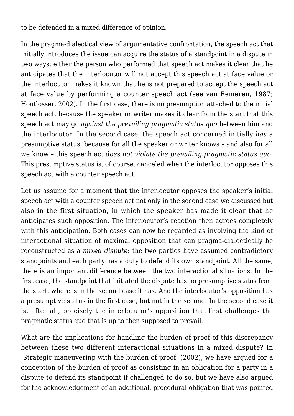to be defended in a mixed difference of opinion.

In the pragma-dialectical view of argumentative confrontation, the speech act that initially introduces the issue can acquire the status of a standpoint in a dispute in two ways: either the person who performed that speech act makes it clear that he anticipates that the interlocutor will not accept this speech act at face value or the interlocutor makes it known that he is not prepared to accept the speech act at face value by performing a counter speech act (see van Eemeren, 1987; Houtlosser, 2002). In the first case, there is no presumption attached to the initial speech act, because the speaker or writer makes it clear from the start that this speech act may go *against the prevailing pragmatic status quo* between him and the interlocutor. In the second case, the speech act concerned initially *has* a presumptive status, because for all the speaker or writer knows – and also for all we know – this speech act *does not violate the prevailing pragmatic status quo*. This presumptive status is, of course, canceled when the interlocutor opposes this speech act with a counter speech act.

Let us assume for a moment that the interlocutor opposes the speaker's initial speech act with a counter speech act not only in the second case we discussed but also in the first situation, in which the speaker has made it clear that he anticipates such opposition. The interlocutor's reaction then agrees completely with this anticipation. Both cases can now be regarded as involving the kind of interactional situation of maximal opposition that can pragma-dialectically be reconstructed as a *mixed dispute*: the two parties have assumed contradictory standpoints and each party has a duty to defend its own standpoint. All the same, there is an important difference between the two interactional situations. In the first case, the standpoint that initiated the dispute has no presumptive status from the start, whereas in the second case it has. And the interlocutor's opposition has a presumptive status in the first case, but not in the second. In the second case it is, after all, precisely the interlocutor's opposition that first challenges the pragmatic status quo that is up to then supposed to prevail.

What are the implications for handling the burden of proof of this discrepancy between these two different interactional situations in a mixed dispute? In 'Strategic maneuvering with the burden of proof' (2002), we have argued for a conception of the burden of proof as consisting in an obligation for a party in a dispute to defend its standpoint if challenged to do so, but we have also argued for the acknowledgement of an additional, procedural obligation that was pointed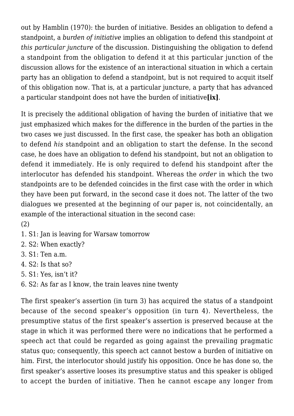out by Hamblin (1970): the burden of initiative. Besides an obligation to defend a standpoint, a *burden of initiative* implies an obligation to defend this standpoint *at this particular juncture* of the discussion. Distinguishing the obligation to defend a standpoint from the obligation to defend it at this particular junction of the discussion allows for the existence of an interactional situation in which a certain party has an obligation to defend a standpoint, but is not required to acquit itself of this obligation now. That is, at a particular juncture, a party that has advanced a particular standpoint does not have the burden of initiative**[ix]**.

It is precisely the additional obligation of having the burden of initiative that we just emphasized which makes for the difference in the burden of the parties in the two cases we just discussed. In the first case, the speaker has both an obligation to defend *his* standpoint and an obligation to start the defense. In the second case, he does have an obligation to defend his standpoint, but not an obligation to defend it immediately. He is only required to defend his standpoint after the interlocutor has defended his standpoint. Whereas the *order* in which the two standpoints are to be defended coincides in the first case with the order in which they have been put forward, in the second case it does not. The latter of the two dialogues we presented at the beginning of our paper is, not coincidentally, an example of the interactional situation in the second case:

(2)

- 1. S1: Jan is leaving for Warsaw tomorrow
- 2. S2: When exactly?
- 3. S1: Ten a.m.
- 4. S2: Is that so?
- 5. S1: Yes, isn't it?
- 6. S2: As far as I know, the train leaves nine twenty

The first speaker's assertion (in turn 3) has acquired the status of a standpoint because of the second speaker's opposition (in turn 4). Nevertheless, the presumptive status of the first speaker's assertion is preserved because at the stage in which it was performed there were no indications that he performed a speech act that could be regarded as going against the prevailing pragmatic status quo; consequently, this speech act cannot bestow a burden of initiative on him. First, the interlocutor should justify his opposition. Once he has done so, the first speaker's assertive looses its presumptive status and this speaker is obliged to accept the burden of initiative. Then he cannot escape any longer from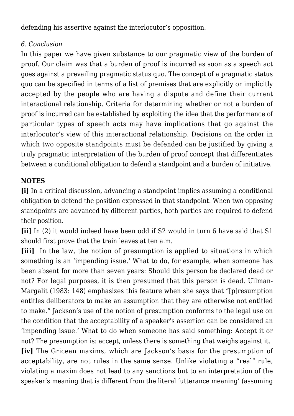defending his assertive against the interlocutor's opposition.

## *6. Conclusion*

In this paper we have given substance to our pragmatic view of the burden of proof. Our claim was that a burden of proof is incurred as soon as a speech act goes against a prevailing pragmatic status quo. The concept of a pragmatic status quo can be specified in terms of a list of premises that are explicitly or implicitly accepted by the people who are having a dispute and define their current interactional relationship. Criteria for determining whether or not a burden of proof is incurred can be established by exploiting the idea that the performance of particular types of speech acts may have implications that go against the interlocutor's view of this interactional relationship. Decisions on the order in which two opposite standpoints must be defended can be justified by giving a truly pragmatic interpretation of the burden of proof concept that differentiates between a conditional obligation to defend a standpoint and a burden of initiative.

## **NOTES**

**[i]** In a critical discussion, advancing a standpoint implies assuming a conditional obligation to defend the position expressed in that standpoint. When two opposing standpoints are advanced by different parties, both parties are required to defend their position.

**[ii]** In (2) it would indeed have been odd if S2 would in turn 6 have said that S1 should first prove that the train leaves at ten a.m.

**[iii]** In the law, the notion of presumption is applied to situations in which something is an 'impending issue.' What to do, for example, when someone has been absent for more than seven years: Should this person be declared dead or not? For legal purposes, it is then presumed that this person is dead. Ullman-Margalit (1983: 148) emphasizes this feature when she says that "[p]resumption entitles deliberators to make an assumption that they are otherwise not entitled to make." Jackson's use of the notion of presumption conforms to the legal use on the condition that the acceptability of a speaker's assertion can be considered an 'impending issue.' What to do when someone has said something: Accept it or not? The presumption is: accept, unless there is something that weighs against it.

**[iv]** The Gricean maxims, which are Jackson's basis for the presumption of acceptability, are not rules in the same sense. Unlike violating a "real" rule, violating a maxim does not lead to any sanctions but to an interpretation of the speaker's meaning that is different from the literal 'utterance meaning' (assuming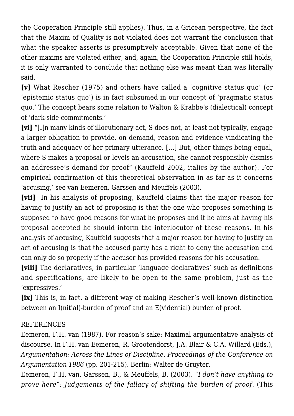the Cooperation Principle still applies). Thus, in a Gricean perspective, the fact that the Maxim of Quality is not violated does not warrant the conclusion that what the speaker asserts is presumptively acceptable. Given that none of the other maxims are violated either, and, again, the Cooperation Principle still holds, it is only warranted to conclude that nothing else was meant than was literally said.

**[v]** What Rescher (1975) and others have called a 'cognitive status quo' (or 'epistemic status quo') is in fact subsumed in our concept of 'pragmatic status quo.' The concept bears some relation to Walton & Krabbe's (dialectical) concept of 'dark-side commitments.'

**[vi]** "[I]n many kinds of illocutionary act, S does not, at least not typically, engage a larger obligation to provide, on demand, reason and evidence vindicating the truth and adequacy of her primary utterance. […] But, other things being equal, where S makes a proposal or levels an accusation, she cannot responsibly dismiss an addressee's demand for proof" (Kauffeld 2002, italics by the author). For empirical confirmation of this theoretical observation in as far as it concerns 'accusing,' see van Eemeren, Garssen and Meuffels (2003).

**[vii]** In his analysis of proposing, Kauffeld claims that the major reason for having to justify an act of proposing is that the one who proposes something is supposed to have good reasons for what he proposes and if he aims at having his proposal accepted he should inform the interlocutor of these reasons. In his analysis of accusing, Kauffeld suggests that a major reason for having to justify an act of accusing is that the accused party has a right to deny the accusation and can only do so properly if the accuser has provided reasons for his accusation.

**[viii]** The declaratives, in particular 'language declaratives' such as definitions and specifications, are likely to be open to the same problem, just as the 'expressives.'

**[ix]** This is, in fact, a different way of making Rescher's well-known distinction between an I(nitial)-burden of proof and an E(vidential) burden of proof.

#### REFERENCES

Eemeren, F.H. van (1987). For reason's sake: Maximal argumentative analysis of discourse. In F.H. van Eemeren, R. Grootendorst, J.A. Blair & C.A. Willard (Eds.), *Argumentation: Across the Lines of Discipline. Proceedings of the Conference on Argumentation 1986* (pp. 201-215). Berlin: Walter de Gruyter.

Eemeren, F.H. van, Garssen, B., & Meuffels, B. (2003). *"I don't have anything to prove here": Judgements of the fallacy of shifting the burden of proof*. (This